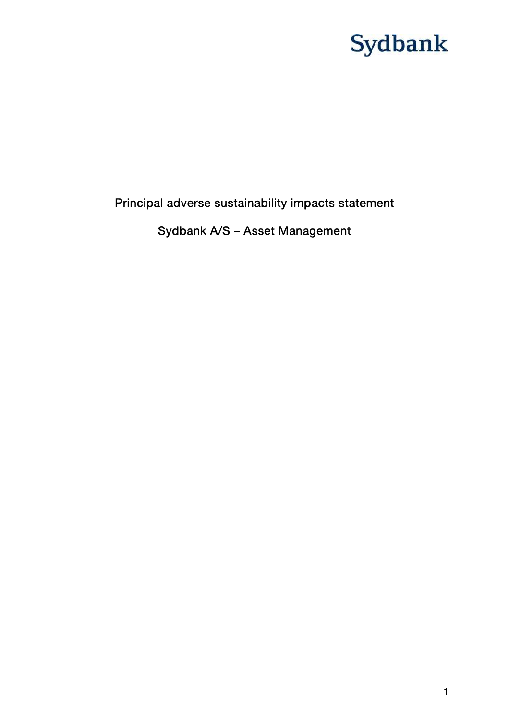## Principal adverse sustainability impacts statement

## Sydbank A/S – Asset Management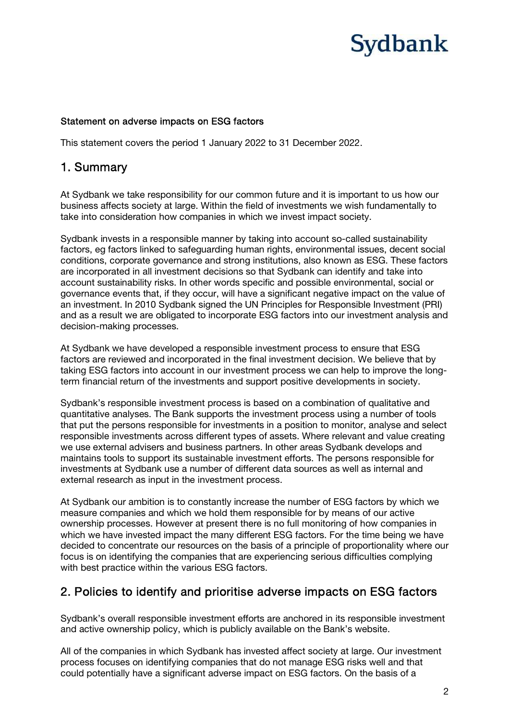#### Statement on adverse impacts on ESG factors

This statement covers the period 1 January 2022 to 31 December 2022.

## 1. Summary

At Sydbank we take responsibility for our common future and it is important to us how our business affects society at large. Within the field of investments we wish fundamentally to take into consideration how companies in which we invest impact society.

Sydbank invests in a responsible manner by taking into account so-called sustainability factors, eg factors linked to safeguarding human rights, environmental issues, decent social conditions, corporate governance and strong institutions, also known as ESG. These factors are incorporated in all investment decisions so that Sydbank can identify and take into account sustainability risks. In other words specific and possible environmental, social or governance events that, if they occur, will have a significant negative impact on the value of an investment. In 2010 Sydbank signed the UN Principles for Responsible Investment (PRI) and as a result we are obligated to incorporate ESG factors into our investment analysis and decision-making processes.

At Sydbank we have developed a responsible investment process to ensure that ESG factors are reviewed and incorporated in the final investment decision. We believe that by taking ESG factors into account in our investment process we can help to improve the longterm financial return of the investments and support positive developments in society.

Sydbank's responsible investment process is based on a combination of qualitative and quantitative analyses. The Bank supports the investment process using a number of tools that put the persons responsible for investments in a position to monitor, analyse and select responsible investments across different types of assets. Where relevant and value creating we use external advisers and business partners. In other areas Sydbank develops and maintains tools to support its sustainable investment efforts. The persons responsible for investments at Sydbank use a number of different data sources as well as internal and external research as input in the investment process.

At Sydbank our ambition is to constantly increase the number of ESG factors by which we measure companies and which we hold them responsible for by means of our active ownership processes. However at present there is no full monitoring of how companies in which we have invested impact the many different ESG factors. For the time being we have decided to concentrate our resources on the basis of a principle of proportionality where our focus is on identifying the companies that are experiencing serious difficulties complying with best practice within the various ESG factors.

## 2. Policies to identify and prioritise adverse impacts on ESG factors

Sydbank's overall responsible investment efforts are anchored in its responsible investment and active ownership policy, which is publicly available on the Bank's website.

All of the companies in which Sydbank has invested affect society at large. Our investment process focuses on identifying companies that do not manage ESG risks well and that could potentially have a significant adverse impact on ESG factors. On the basis of a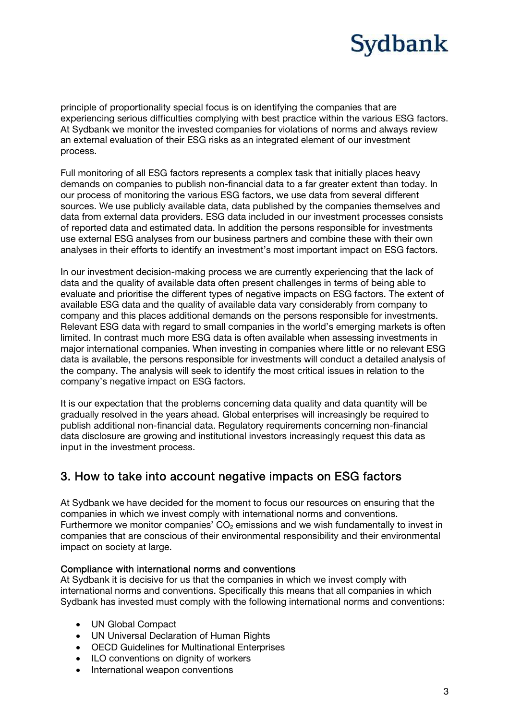principle of proportionality special focus is on identifying the companies that are experiencing serious difficulties complying with best practice within the various ESG factors. At Sydbank we monitor the invested companies for violations of norms and always review an external evaluation of their ESG risks as an integrated element of our investment process.

Full monitoring of all ESG factors represents a complex task that initially places heavy demands on companies to publish non-financial data to a far greater extent than today. In our process of monitoring the various ESG factors, we use data from several different sources. We use publicly available data, data published by the companies themselves and data from external data providers. ESG data included in our investment processes consists of reported data and estimated data. In addition the persons responsible for investments use external ESG analyses from our business partners and combine these with their own analyses in their efforts to identify an investment's most important impact on ESG factors.

In our investment decision-making process we are currently experiencing that the lack of data and the quality of available data often present challenges in terms of being able to evaluate and prioritise the different types of negative impacts on ESG factors. The extent of available ESG data and the quality of available data vary considerably from company to company and this places additional demands on the persons responsible for investments. Relevant ESG data with regard to small companies in the world's emerging markets is often limited. In contrast much more ESG data is often available when assessing investments in major international companies. When investing in companies where little or no relevant ESG data is available, the persons responsible for investments will conduct a detailed analysis of the company. The analysis will seek to identify the most critical issues in relation to the company's negative impact on ESG factors.

It is our expectation that the problems concerning data quality and data quantity will be gradually resolved in the years ahead. Global enterprises will increasingly be required to publish additional non-financial data. Regulatory requirements concerning non-financial data disclosure are growing and institutional investors increasingly request this data as input in the investment process.

## 3. How to take into account negative impacts on ESG factors

At Sydbank we have decided for the moment to focus our resources on ensuring that the companies in which we invest comply with international norms and conventions. Furthermore we monitor companies'  $CO<sub>2</sub>$  emissions and we wish fundamentally to invest in companies that are conscious of their environmental responsibility and their environmental impact on society at large.

### Compliance with international norms and conventions

At Sydbank it is decisive for us that the companies in which we invest comply with international norms and conventions. Specifically this means that all companies in which Sydbank has invested must comply with the following international norms and conventions:

- UN Global Compact
- UN Universal Declaration of Human Rights
- OECD Guidelines for Multinational Enterprises
- ILO conventions on dignity of workers
- International weapon conventions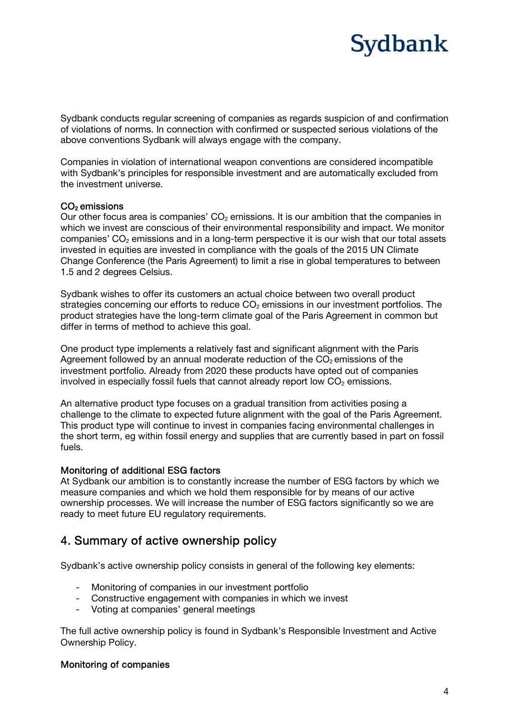Sydbank conducts regular screening of companies as regards suspicion of and confirmation of violations of norms. In connection with confirmed or suspected serious violations of the above conventions Sydbank will always engage with the company.

Companies in violation of international weapon conventions are considered incompatible with Sydbank's principles for responsible investment and are automatically excluded from the investment universe.

### CO<sub>2</sub> emissions

Our other focus area is companies'  $CO<sub>2</sub>$  emissions. It is our ambition that the companies in which we invest are conscious of their environmental responsibility and impact. We monitor companies'  $CO<sub>2</sub>$  emissions and in a long-term perspective it is our wish that our total assets invested in equities are invested in compliance with the goals of the 2015 UN Climate Change Conference (the Paris Agreement) to limit a rise in global temperatures to between 1.5 and 2 degrees Celsius.

Sydbank wishes to offer its customers an actual choice between two overall product strategies concerning our efforts to reduce  $CO<sub>2</sub>$  emissions in our investment portfolios. The product strategies have the long-term climate goal of the Paris Agreement in common but differ in terms of method to achieve this goal.

One product type implements a relatively fast and significant alignment with the Paris Agreement followed by an annual moderate reduction of the  $CO<sub>2</sub>$  emissions of the investment portfolio. Already from 2020 these products have opted out of companies involved in especially fossil fuels that cannot already report low  $CO<sub>2</sub>$  emissions.

An alternative product type focuses on a gradual transition from activities posing a challenge to the climate to expected future alignment with the goal of the Paris Agreement. This product type will continue to invest in companies facing environmental challenges in the short term, eg within fossil energy and supplies that are currently based in part on fossil fuels.

### Monitoring of additional ESG factors

At Sydbank our ambition is to constantly increase the number of ESG factors by which we measure companies and which we hold them responsible for by means of our active ownership processes. We will increase the number of ESG factors significantly so we are ready to meet future EU regulatory requirements.

## 4. Summary of active ownership policy

Sydbank's active ownership policy consists in general of the following key elements:

- Monitoring of companies in our investment portfolio
- Constructive engagement with companies in which we invest
- Voting at companies' general meetings

The full active ownership policy is found in Sydbank's Responsible Investment and Active Ownership Policy.

### Monitoring of companies